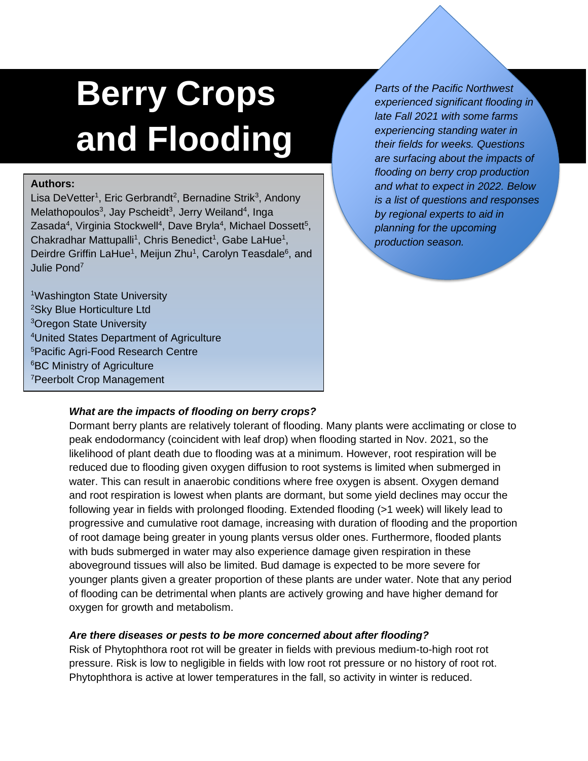# **Berry Crops and Flooding**

## **Authors:**

Lisa DeVetter<sup>1</sup>, Eric Gerbrandt<sup>2</sup>, Bernadine Strik<sup>3</sup>, Andony Melathopoulos<sup>3</sup>, Jay Pscheidt<sup>3</sup>, Jerry Weiland<sup>4</sup>, Inga Zasada<sup>4</sup>, Virginia Stockwell<sup>4</sup>, Dave Bryla<sup>4</sup>, Michael Dossett<sup>5</sup>, Chakradhar Mattupalli<sup>1</sup>, Chris Benedict<sup>1</sup>, Gabe LaHue<sup>1</sup>, Deirdre Griffin LaHue<sup>1</sup>, Meijun Zhu<sup>1</sup>, Carolyn Teasdale<sup>6</sup>, and Julie Pond<sup>7</sup>

Washington State University Sky Blue Horticulture Ltd <sup>3</sup>Oregon State University United States Department of Agriculture Pacific Agri-Food Research Centre <sup>6</sup>BC Ministry of Agriculture Peerbolt Crop Management

*Parts of the Pacific Northwest experienced significant flooding in late Fall 2021 with some farms experiencing standing water in their fields for weeks. Questions are surfacing about the impacts of flooding on berry crop production and what to expect in 2022. Below is a list of questions and responses by regional experts to aid in planning for the upcoming production season.* 

# *What are the impacts of flooding on berry crops?*

Dormant berry plants are relatively tolerant of flooding. Many plants were acclimating or close to peak endodormancy (coincident with leaf drop) when flooding started in Nov. 2021, so the likelihood of plant death due to flooding was at a minimum. However, root respiration will be reduced due to flooding given oxygen diffusion to root systems is limited when submerged in water. This can result in anaerobic conditions where free oxygen is absent. Oxygen demand and root respiration is lowest when plants are dormant, but some yield declines may occur the following year in fields with prolonged flooding. Extended flooding (>1 week) will likely lead to progressive and cumulative root damage, increasing with duration of flooding and the proportion of root damage being greater in young plants versus older ones. Furthermore, flooded plants with buds submerged in water may also experience damage given respiration in these aboveground tissues will also be limited. Bud damage is expected to be more severe for younger plants given a greater proportion of these plants are under water. Note that any period of flooding can be detrimental when plants are actively growing and have higher demand for oxygen for growth and metabolism.

## *Are there diseases or pests to be more concerned about after flooding?*

Risk of Phytophthora root rot will be greater in fields with previous medium-to-high root rot pressure. Risk is low to negligible in fields with low root rot pressure or no history of root rot. Phytophthora is active at lower temperatures in the fall, so activity in winter is reduced.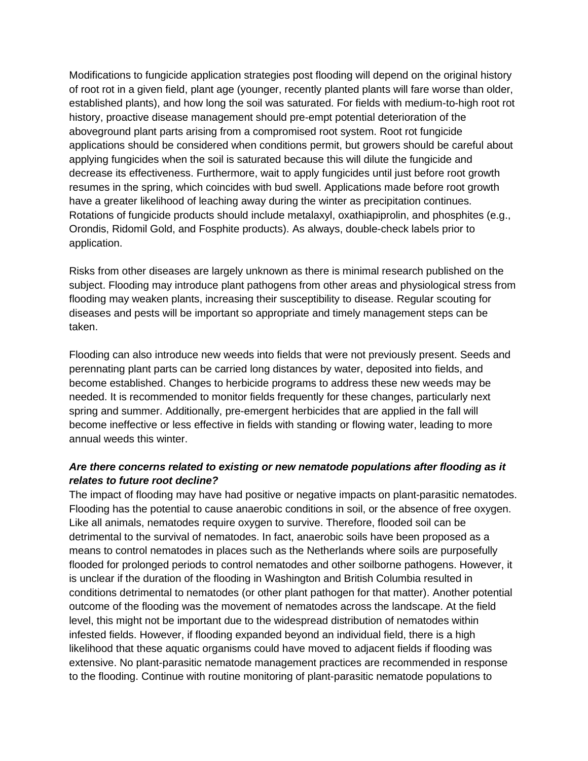Modifications to fungicide application strategies post flooding will depend on the original history of root rot in a given field, plant age (younger, recently planted plants will fare worse than older, established plants), and how long the soil was saturated. For fields with medium-to-high root rot history, proactive disease management should pre-empt potential deterioration of the aboveground plant parts arising from a compromised root system. Root rot fungicide applications should be considered when conditions permit, but growers should be careful about applying fungicides when the soil is saturated because this will dilute the fungicide and decrease its effectiveness. Furthermore, wait to apply fungicides until just before root growth resumes in the spring, which coincides with bud swell. Applications made before root growth have a greater likelihood of leaching away during the winter as precipitation continues. Rotations of fungicide products should include metalaxyl, oxathiapiprolin, and phosphites (e.g., Orondis, Ridomil Gold, and Fosphite products). As always, double-check labels prior to application.

Risks from other diseases are largely unknown as there is minimal research published on the subject. Flooding may introduce plant pathogens from other areas and physiological stress from flooding may weaken plants, increasing their susceptibility to disease. Regular scouting for diseases and pests will be important so appropriate and timely management steps can be taken.

Flooding can also introduce new weeds into fields that were not previously present. Seeds and perennating plant parts can be carried long distances by water, deposited into fields, and become established. Changes to herbicide programs to address these new weeds may be needed. It is recommended to monitor fields frequently for these changes, particularly next spring and summer. Additionally, pre-emergent herbicides that are applied in the fall will become ineffective or less effective in fields with standing or flowing water, leading to more annual weeds this winter.

## *Are there concerns related to existing or new nematode populations after flooding as it relates to future root decline?*

The impact of flooding may have had positive or negative impacts on plant-parasitic nematodes. Flooding has the potential to cause anaerobic conditions in soil, or the absence of free oxygen. Like all animals, nematodes require oxygen to survive. Therefore, flooded soil can be detrimental to the survival of nematodes. In fact, anaerobic soils have been proposed as a means to control nematodes in places such as the Netherlands where soils are purposefully flooded for prolonged periods to control nematodes and other soilborne pathogens. However, it is unclear if the duration of the flooding in Washington and British Columbia resulted in conditions detrimental to nematodes (or other plant pathogen for that matter). Another potential outcome of the flooding was the movement of nematodes across the landscape. At the field level, this might not be important due to the widespread distribution of nematodes within infested fields. However, if flooding expanded beyond an individual field, there is a high likelihood that these aquatic organisms could have moved to adjacent fields if flooding was extensive. No plant-parasitic nematode management practices are recommended in response to the flooding. Continue with routine monitoring of plant-parasitic nematode populations to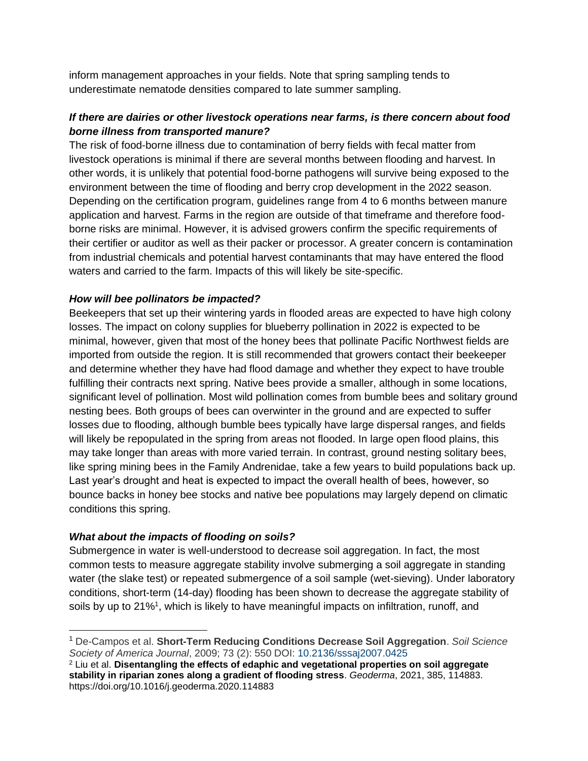inform management approaches in your fields. Note that spring sampling tends to underestimate nematode densities compared to late summer sampling.

## *If there are dairies or other livestock operations near farms, is there concern about food borne illness from transported manure?*

The risk of food-borne illness due to contamination of berry fields with fecal matter from livestock operations is minimal if there are several months between flooding and harvest. In other words, it is unlikely that potential food-borne pathogens will survive being exposed to the environment between the time of flooding and berry crop development in the 2022 season. Depending on the certification program, guidelines range from 4 to 6 months between manure application and harvest. Farms in the region are outside of that timeframe and therefore foodborne risks are minimal. However, it is advised growers confirm the specific requirements of their certifier or auditor as well as their packer or processor. A greater concern is contamination from industrial chemicals and potential harvest contaminants that may have entered the flood waters and carried to the farm. Impacts of this will likely be site-specific.

#### *How will bee pollinators be impacted?*

Beekeepers that set up their wintering yards in flooded areas are expected to have high colony losses. The impact on colony supplies for blueberry pollination in 2022 is expected to be minimal, however, given that most of the honey bees that pollinate Pacific Northwest fields are imported from outside the region. It is still recommended that growers contact their beekeeper and determine whether they have had flood damage and whether they expect to have trouble fulfilling their contracts next spring. Native bees provide a smaller, although in some locations, significant level of pollination. Most wild pollination comes from bumble bees and solitary ground nesting bees. Both groups of bees can overwinter in the ground and are expected to suffer losses due to flooding, although bumble bees typically have large dispersal ranges, and fields will likely be repopulated in the spring from areas not flooded. In large open flood plains, this may take longer than areas with more varied terrain. In contrast, ground nesting solitary bees, like spring mining bees in the Family Andrenidae, take a few years to build populations back up. Last year's drought and heat is expected to impact the overall health of bees, however, so bounce backs in honey bee stocks and native bee populations may largely depend on climatic conditions this spring.

#### *What about the impacts of flooding on soils?*

Submergence in water is well-understood to decrease soil aggregation. In fact, the most common tests to measure aggregate stability involve submerging a soil aggregate in standing water (the slake test) or repeated submergence of a soil sample (wet-sieving). Under laboratory conditions, short-term (14-day) flooding has been shown to decrease the aggregate stability of soils by up to 21%<sup>1</sup>, which is likely to have meaningful impacts on infiltration, runoff, and

<sup>1</sup> De-Campos et al. **Short-Term Reducing Conditions Decrease Soil Aggregation**. *Soil Science Society of America Journal*, 2009; 73 (2): 550 DOI: [10.2136/sssaj2007.0425](http://dx.doi.org/10.2136/sssaj2007.0425)

<sup>2</sup> Liu et al. **Disentangling the effects of edaphic and vegetational properties on soil aggregate stability in riparian zones along a gradient of flooding stress**. *Geoderma*, 2021, 385, 114883. https://doi.org/10.1016/j.geoderma.2020.114883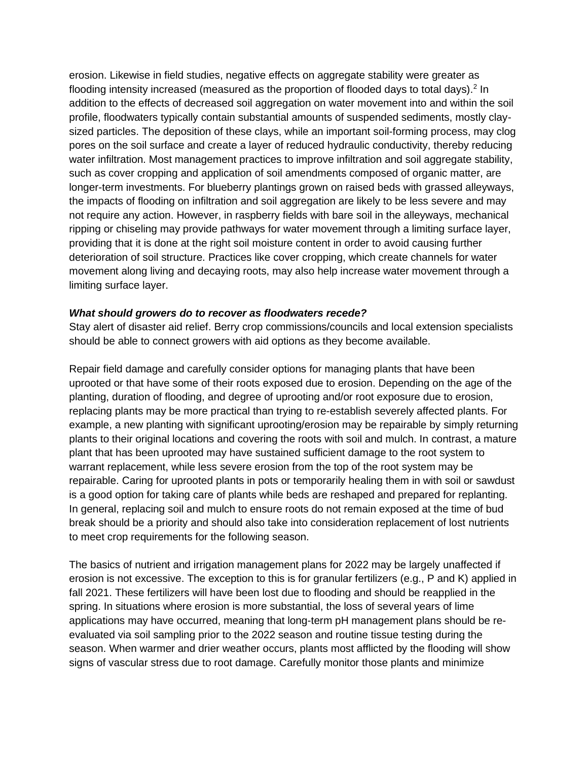erosion. Likewise in field studies, negative effects on aggregate stability were greater as flooding intensity increased (measured as the proportion of flooded days to total days).<sup>2</sup> In addition to the effects of decreased soil aggregation on water movement into and within the soil profile, floodwaters typically contain substantial amounts of suspended sediments, mostly claysized particles. The deposition of these clays, while an important soil-forming process, may clog pores on the soil surface and create a layer of reduced hydraulic conductivity, thereby reducing water infiltration. Most management practices to improve infiltration and soil aggregate stability, such as cover cropping and application of soil amendments composed of organic matter, are longer-term investments. For blueberry plantings grown on raised beds with grassed alleyways, the impacts of flooding on infiltration and soil aggregation are likely to be less severe and may not require any action. However, in raspberry fields with bare soil in the alleyways, mechanical ripping or chiseling may provide pathways for water movement through a limiting surface layer, providing that it is done at the right soil moisture content in order to avoid causing further deterioration of soil structure. Practices like cover cropping, which create channels for water movement along living and decaying roots, may also help increase water movement through a limiting surface layer.

#### *What should growers do to recover as floodwaters recede?*

Stay alert of disaster aid relief. Berry crop commissions/councils and local extension specialists should be able to connect growers with aid options as they become available.

Repair field damage and carefully consider options for managing plants that have been uprooted or that have some of their roots exposed due to erosion. Depending on the age of the planting, duration of flooding, and degree of uprooting and/or root exposure due to erosion, replacing plants may be more practical than trying to re-establish severely affected plants. For example, a new planting with significant uprooting/erosion may be repairable by simply returning plants to their original locations and covering the roots with soil and mulch. In contrast, a mature plant that has been uprooted may have sustained sufficient damage to the root system to warrant replacement, while less severe erosion from the top of the root system may be repairable. Caring for uprooted plants in pots or temporarily healing them in with soil or sawdust is a good option for taking care of plants while beds are reshaped and prepared for replanting. In general, replacing soil and mulch to ensure roots do not remain exposed at the time of bud break should be a priority and should also take into consideration replacement of lost nutrients to meet crop requirements for the following season.

The basics of nutrient and irrigation management plans for 2022 may be largely unaffected if erosion is not excessive. The exception to this is for granular fertilizers (e.g., P and K) applied in fall 2021. These fertilizers will have been lost due to flooding and should be reapplied in the spring. In situations where erosion is more substantial, the loss of several years of lime applications may have occurred, meaning that long-term pH management plans should be reevaluated via soil sampling prior to the 2022 season and routine tissue testing during the season. When warmer and drier weather occurs, plants most afflicted by the flooding will show signs of vascular stress due to root damage. Carefully monitor those plants and minimize